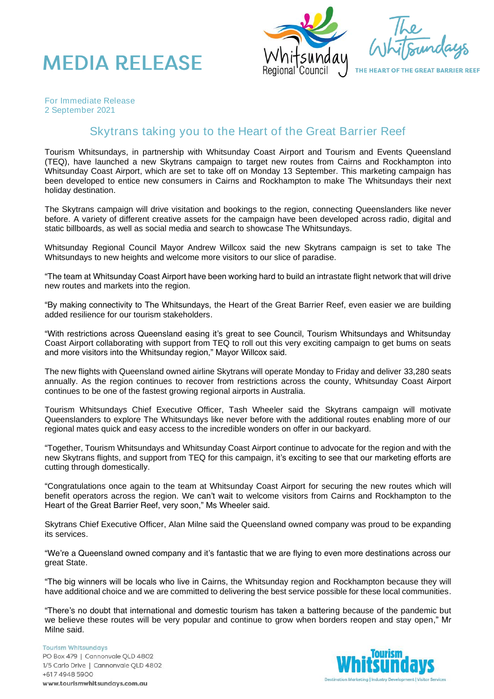



THE HEART OF THE GREAT BARRIER REEF

*For Immediate Release 2 September 2021*

## Skytrans taking you to the Heart of the Great Barrier Reef

Tourism Whitsundays, in partnership with Whitsunday Coast Airport and Tourism and Events Queensland (TEQ), have launched a new Skytrans campaign to target new routes from Cairns and Rockhampton into Whitsunday Coast Airport, which are set to take off on Monday 13 September. This marketing campaign has been developed to entice new consumers in Cairns and Rockhampton to make The Whitsundays their next holiday destination.

The Skytrans campaign will drive visitation and bookings to the region, connecting Queenslanders like never before. A variety of different creative assets for the campaign have been developed across radio, digital and static billboards, as well as social media and search to showcase The Whitsundays.

Whitsunday Regional Council Mayor Andrew Willcox said the new Skytrans campaign is set to take The Whitsundays to new heights and welcome more visitors to our slice of paradise.

"The team at Whitsunday Coast Airport have been working hard to build an intrastate flight network that will drive new routes and markets into the region.

"By making connectivity to The Whitsundays, the Heart of the Great Barrier Reef, even easier we are building added resilience for our tourism stakeholders.

"With restrictions across Queensland easing it's great to see Council, Tourism Whitsundays and Whitsunday Coast Airport collaborating with support from TEQ to roll out this very exciting campaign to get bums on seats and more visitors into the Whitsunday region," Mayor Willcox said.

The new flights with Queensland owned airline Skytrans will operate Monday to Friday and deliver 33,280 seats annually. As the region continues to recover from restrictions across the county, Whitsunday Coast Airport continues to be one of the fastest growing regional airports in Australia.

Tourism Whitsundays Chief Executive Officer, Tash Wheeler said the Skytrans campaign will motivate Queenslanders to explore The Whitsundays like never before with the additional routes enabling more of our regional mates quick and easy access to the incredible wonders on offer in our backyard.

"Together, Tourism Whitsundays and Whitsunday Coast Airport continue to advocate for the region and with the new Skytrans flights, and support from TEQ for this campaign, it's exciting to see that our marketing efforts are cutting through domestically.

"Congratulations once again to the team at Whitsunday Coast Airport for securing the new routes which will benefit operators across the region. We can't wait to welcome visitors from Cairns and Rockhampton to the Heart of the Great Barrier Reef, very soon," Ms Wheeler said.

Skytrans Chief Executive Officer, Alan Milne said the Queensland owned company was proud to be expanding its services.

"We're a Queensland owned company and it's fantastic that we are flying to even more destinations across our great State.

"The big winners will be locals who live in Cairns, the Whitsunday region and Rockhampton because they will have additional choice and we are committed to delivering the best service possible for these local communities.

"There's no doubt that international and domestic tourism has taken a battering because of the pandemic but we believe these routes will be very popular and continue to grow when borders reopen and stay open," Mr Milne said.

**Tourism Whitsundays** PO Box 479 | Cannonvale QLD 4802 1/5 Carlo Drive | Cannonvale QLD 4802 +617 4948 5900 www.tourismwhitsundays.com.au